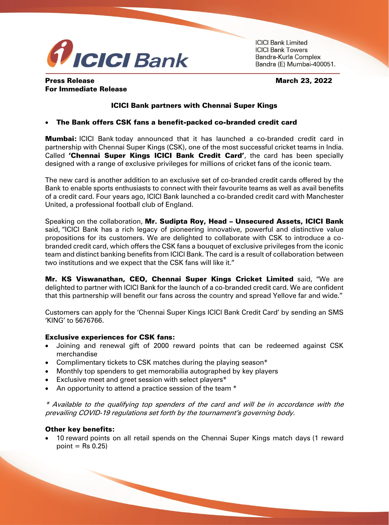

**ICICI Bank Limited ICICI Bank Towers** Bandra-Kurla Complex Bandra (E) Mumbai-400051.

## Press Release March 23, 2022 For Immediate Release

# ICICI Bank partners with Chennai Super Kings

## The Bank offers CSK fans a benefit-packed co-branded credit card

**Mumbai:** ICICI Bank today announced that it has launched a co-branded credit card in partnership with Chennai Super Kings (CSK), one of the most successful cricket teams in India. Called **'Chennai Super Kings ICICI Bank Credit Card'**, the card has been specially designed with a range of exclusive privileges for millions of cricket fans of the iconic team.

The new card is another addition to an exclusive set of co-branded credit cards offered by the Bank to enable sports enthusiasts to connect with their favourite teams as well as avail benefits of a credit card. Four years ago, ICICI Bank launched a co-branded credit card with Manchester United, a professional football club of England.

Speaking on the collaboration, Mr. Sudipta Roy, Head – Unsecured Assets, ICICI Bank said, "ICICI Bank has a rich legacy of pioneering innovative, powerful and distinctive value propositions for its customers. We are delighted to collaborate with CSK to introduce a cobranded credit card, which offers the CSK fans a bouquet of exclusive privileges from the iconic team and distinct banking benefits from ICICI Bank. The card is a result of collaboration between two institutions and we expect that the CSK fans will like it."

Mr. KS Viswanathan, CEO, Chennai Super Kings Cricket Limited said, "We are delighted to partner with ICICI Bank for the launch of a co-branded credit card. We are confident that this partnership will benefit our fans across the country and spread Yellove far and wide."

Customers can apply for the 'Chennai Super Kings ICICI Bank Credit Card' by sending an SMS 'KING' to 5676766.

### Exclusive experiences for CSK fans:

- Joining and renewal gift of 2000 reward points that can be redeemed against CSK merchandise
- Complimentary tickets to CSK matches during the playing season\*
- Monthly top spenders to get memorabilia autographed by key players
- Exclusive meet and greet session with select players\*
- An opportunity to attend a practice session of the team  $*$

\* Available to the qualifying top spenders of the card and will be in accordance with the prevailing COVID-19 regulations set forth by the tournament's governing body.

### Other key benefits:

 10 reward points on all retail spends on the Chennai Super Kings match days (1 reward point  $=$  Rs 0.25)